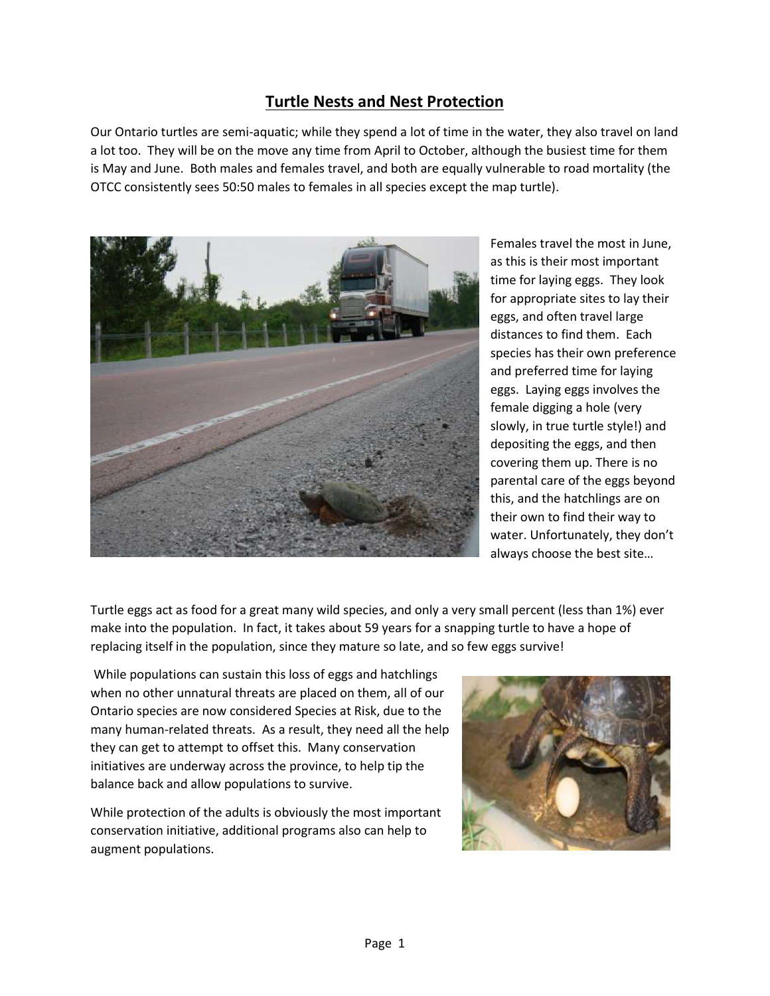## **Turtle Nests and Nest Protection**

Our Ontario turtles are semi-aquatic; while they spend a lot of time in the water, they also travel on land a lot too. They will be on the move any time from April to October, although the busiest time for them is May and June. Both males and females travel, and both are equally vulnerable to road mortality (the OTCC consistently sees 50:50 males to females in all species except the map turtle).



Females travel the most in June, as this is their most important time for laying eggs. They look for appropriate sites to lay their eggs, and often travel large distances to find them. Each species has their own preference and preferred time for laying eggs. Laying eggs involves the female digging a hole (very slowly, in true turtle style!) and depositing the eggs, and then covering them up. There is no parental care of the eggs beyond this, and the hatchlings are on their own to find their way to water. Unfortunately, they don't always choose the best site…

Turtle eggs act as food for a great many wild species, and only a very small percent (less than 1%) ever make into the population. In fact, it takes about 59 years for a snapping turtle to have a hope of replacing itself in the population, since they mature so late, and so few eggs survive!

While populations can sustain this loss of eggs and hatchlings when no other unnatural threats are placed on them, all of our Ontario species are now considered Species at Risk, due to the many human-related threats. As a result, they need all the help they can get to attempt to offset this. Many conservation initiatives are underway across the province, to help tip the balance back and allow populations to survive.

While protection of the adults is obviously the most important conservation initiative, additional programs also can help to augment populations.

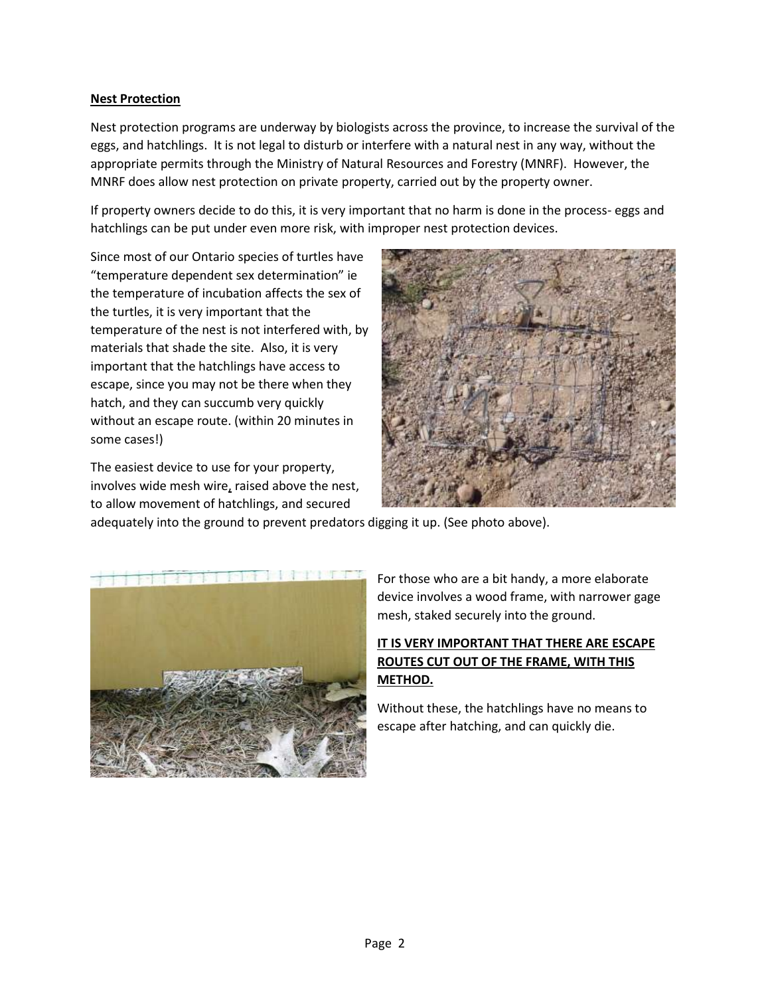## **Nest Protection**

Nest protection programs are underway by biologists across the province, to increase the survival of the eggs, and hatchlings. It is not legal to disturb or interfere with a natural nest in any way, without the appropriate permits through the Ministry of Natural Resources and Forestry (MNRF). However, the MNRF does allow nest protection on private property, carried out by the property owner.

If property owners decide to do this, it is very important that no harm is done in the process- eggs and hatchlings can be put under even more risk, with improper nest protection devices.

Since most of our Ontario species of turtles have "temperature dependent sex determination" ie the temperature of incubation affects the sex of the turtles, it is very important that the temperature of the nest is not interfered with, by materials that shade the site. Also, it is very important that the hatchlings have access to escape, since you may not be there when they hatch, and they can succumb very quickly without an escape route. (within 20 minutes in some cases!)

The easiest device to use for your property, involves wide mesh wire, raised above the nest, to allow movement of hatchlings, and secured



adequately into the ground to prevent predators digging it up. (See photo above).



For those who are a bit handy, a more elaborate device involves a wood frame, with narrower gage mesh, staked securely into the ground.

## **IT IS VERY IMPORTANT THAT THERE ARE ESCAPE ROUTES CUT OUT OF THE FRAME, WITH THIS METHOD.**

Without these, the hatchlings have no means to escape after hatching, and can quickly die.